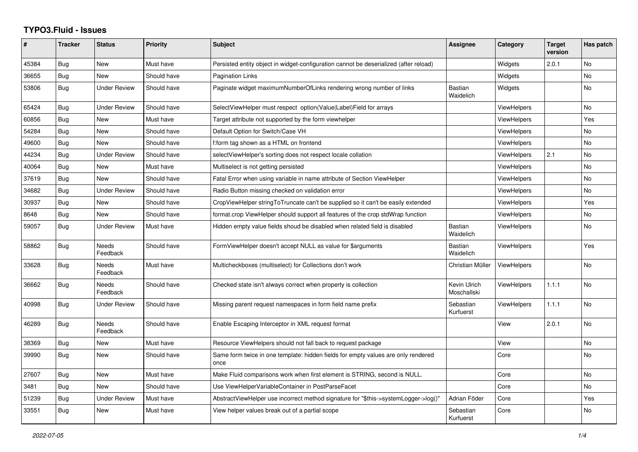## **TYPO3.Fluid - Issues**

| #     | <b>Tracker</b> | <b>Status</b>            | <b>Priority</b> | <b>Subject</b>                                                                            | Assignee                    | Category           | <b>Target</b><br>version | Has patch      |
|-------|----------------|--------------------------|-----------------|-------------------------------------------------------------------------------------------|-----------------------------|--------------------|--------------------------|----------------|
| 45384 | Bug            | New                      | Must have       | Persisted entity object in widget-configuration cannot be deserialized (after reload)     |                             | Widgets            | 2.0.1                    | No             |
| 36655 | <b>Bug</b>     | <b>New</b>               | Should have     | <b>Pagination Links</b>                                                                   |                             | Widgets            |                          | N <sub>o</sub> |
| 53806 | Bug            | <b>Under Review</b>      | Should have     | Paginate widget maximumNumberOfLinks rendering wrong number of links                      | <b>Bastian</b><br>Waidelich | Widgets            |                          | <b>No</b>      |
| 65424 | <b>Bug</b>     | <b>Under Review</b>      | Should have     | SelectViewHelper must respect option(Value Label)Field for arrays                         |                             | <b>ViewHelpers</b> |                          | <b>No</b>      |
| 60856 | Bug            | <b>New</b>               | Must have       | Target attribute not supported by the form viewhelper                                     |                             | <b>ViewHelpers</b> |                          | Yes            |
| 54284 | <b>Bug</b>     | <b>New</b>               | Should have     | Default Option for Switch/Case VH                                                         |                             | <b>ViewHelpers</b> |                          | <b>No</b>      |
| 49600 | Bug            | New                      | Should have     | f:form tag shown as a HTML on frontend                                                    |                             | ViewHelpers        |                          | No             |
| 44234 | Bug            | <b>Under Review</b>      | Should have     | selectViewHelper's sorting does not respect locale collation                              |                             | <b>ViewHelpers</b> | 2.1                      | <b>No</b>      |
| 40064 | Bug            | <b>New</b>               | Must have       | Multiselect is not getting persisted                                                      |                             | <b>ViewHelpers</b> |                          | <b>No</b>      |
| 37619 | Bug            | <b>New</b>               | Should have     | Fatal Error when using variable in name attribute of Section ViewHelper                   |                             | <b>ViewHelpers</b> |                          | <b>No</b>      |
| 34682 | Bug            | <b>Under Review</b>      | Should have     | Radio Button missing checked on validation error                                          |                             | <b>ViewHelpers</b> |                          | <b>No</b>      |
| 30937 | Bug            | <b>New</b>               | Should have     | CropViewHelper stringToTruncate can't be supplied so it can't be easily extended          |                             | <b>ViewHelpers</b> |                          | Yes            |
| 8648  | Bug            | New                      | Should have     | format.crop ViewHelper should support all features of the crop stdWrap function           |                             | <b>ViewHelpers</b> |                          | No             |
| 59057 | Bug            | <b>Under Review</b>      | Must have       | Hidden empty value fields shoud be disabled when related field is disabled                | <b>Bastian</b><br>Waidelich | <b>ViewHelpers</b> |                          | <b>No</b>      |
| 58862 | Bug            | Needs<br>Feedback        | Should have     | FormViewHelper doesn't accept NULL as value for \$arguments                               | Bastian<br>Waidelich        | <b>ViewHelpers</b> |                          | Yes            |
| 33628 | Bug            | Needs<br>Feedback        | Must have       | Multicheckboxes (multiselect) for Collections don't work                                  | Christian Müller            | <b>ViewHelpers</b> |                          | <b>No</b>      |
| 36662 | <b>Bug</b>     | Needs<br>Feedback        | Should have     | Checked state isn't always correct when property is collection                            | Kevin Ulrich<br>Moschallski | <b>ViewHelpers</b> | 1.1.1                    | No             |
| 40998 | Bug            | <b>Under Review</b>      | Should have     | Missing parent request namespaces in form field name prefix                               | Sebastian<br>Kurfuerst      | <b>ViewHelpers</b> | 1.1.1                    | <b>No</b>      |
| 46289 | Bug            | <b>Needs</b><br>Feedback | Should have     | Enable Escaping Interceptor in XML request format                                         |                             | View               | 2.0.1                    | <b>No</b>      |
| 38369 | Bug            | New                      | Must have       | Resource ViewHelpers should not fall back to request package                              |                             | View               |                          | No             |
| 39990 | Bug            | <b>New</b>               | Should have     | Same form twice in one template: hidden fields for empty values are only rendered<br>once |                             | Core               |                          | <b>No</b>      |
| 27607 | Bug            | <b>New</b>               | Must have       | Make Fluid comparisons work when first element is STRING, second is NULL.                 |                             | Core               |                          | <b>No</b>      |
| 3481  | Bug            | <b>New</b>               | Should have     | Use ViewHelperVariableContainer in PostParseFacet                                         |                             | Core               |                          | <b>No</b>      |
| 51239 | Bug            | <b>Under Review</b>      | Must have       | AbstractViewHelper use incorrect method signature for "\$this->systemLogger->log()"       | Adrian Föder                | Core               |                          | Yes            |
| 33551 | Bug            | <b>New</b>               | Must have       | View helper values break out of a partial scope                                           | Sebastian<br>Kurfuerst      | Core               |                          | N <sub>o</sub> |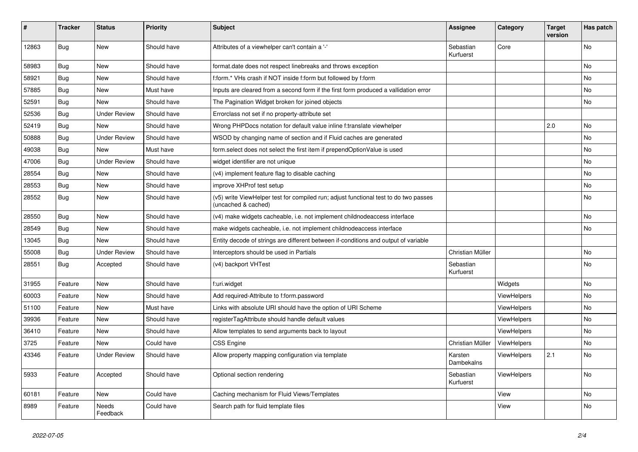| ∦     | <b>Tracker</b> | <b>Status</b>            | <b>Priority</b> | <b>Subject</b>                                                                                              | Assignee               | Category           | <b>Target</b><br>version | Has patch |
|-------|----------------|--------------------------|-----------------|-------------------------------------------------------------------------------------------------------------|------------------------|--------------------|--------------------------|-----------|
| 12863 | Bug            | New                      | Should have     | Attributes of a viewhelper can't contain a '-'                                                              | Sebastian<br>Kurfuerst | Core               |                          | No        |
| 58983 | <b>Bug</b>     | <b>New</b>               | Should have     | format date does not respect linebreaks and throws exception                                                |                        |                    |                          | <b>No</b> |
| 58921 | <b>Bug</b>     | New                      | Should have     | f:form.* VHs crash if NOT inside f:form but followed by f:form                                              |                        |                    |                          | No        |
| 57885 | Bug            | New                      | Must have       | Inputs are cleared from a second form if the first form produced a vallidation error                        |                        |                    |                          | No        |
| 52591 | Bug            | <b>New</b>               | Should have     | The Pagination Widget broken for joined objects                                                             |                        |                    |                          | No        |
| 52536 | <b>Bug</b>     | <b>Under Review</b>      | Should have     | Errorclass not set if no property-attribute set                                                             |                        |                    |                          |           |
| 52419 | Bug            | <b>New</b>               | Should have     | Wrong PHPDocs notation for default value inline f:translate viewhelper                                      |                        |                    | 2.0                      | No        |
| 50888 | <b>Bug</b>     | <b>Under Review</b>      | Should have     | WSOD by changing name of section and if Fluid caches are generated                                          |                        |                    |                          | No        |
| 49038 | <b>Bug</b>     | New                      | Must have       | form.select does not select the first item if prependOptionValue is used                                    |                        |                    |                          | No        |
| 47006 | Bug            | <b>Under Review</b>      | Should have     | widget identifier are not unique                                                                            |                        |                    |                          | <b>No</b> |
| 28554 | <b>Bug</b>     | <b>New</b>               | Should have     | (v4) implement feature flag to disable caching                                                              |                        |                    |                          | <b>No</b> |
| 28553 | <b>Bug</b>     | <b>New</b>               | Should have     | improve XHProf test setup                                                                                   |                        |                    |                          | <b>No</b> |
| 28552 | <b>Bug</b>     | New                      | Should have     | (v5) write ViewHelper test for compiled run; adjust functional test to do two passes<br>(uncached & cached) |                        |                    |                          | <b>No</b> |
| 28550 | Bug            | <b>New</b>               | Should have     | (v4) make widgets cacheable, i.e. not implement childnodeaccess interface                                   |                        |                    |                          | <b>No</b> |
| 28549 | Bug            | <b>New</b>               | Should have     | make widgets cacheable, i.e. not implement childnodeaccess interface                                        |                        |                    |                          | <b>No</b> |
| 13045 | Bug            | <b>New</b>               | Should have     | Entity decode of strings are different between if-conditions and output of variable                         |                        |                    |                          |           |
| 55008 | Bug            | <b>Under Review</b>      | Should have     | Interceptors should be used in Partials                                                                     | Christian Müller       |                    |                          | No        |
| 28551 | <b>Bug</b>     | Accepted                 | Should have     | (v4) backport VHTest                                                                                        | Sebastian<br>Kurfuerst |                    |                          | No        |
| 31955 | Feature        | New                      | Should have     | f:uri.widget                                                                                                |                        | Widgets            |                          | No        |
| 60003 | Feature        | New                      | Should have     | Add required-Attribute to f:form.password                                                                   |                        | <b>ViewHelpers</b> |                          | <b>No</b> |
| 51100 | Feature        | New                      | Must have       | Links with absolute URI should have the option of URI Scheme                                                |                        | ViewHelpers        |                          | No        |
| 39936 | Feature        | New                      | Should have     | registerTagAttribute should handle default values                                                           |                        | <b>ViewHelpers</b> |                          | No        |
| 36410 | Feature        | New                      | Should have     | Allow templates to send arguments back to layout                                                            |                        | ViewHelpers        |                          | No        |
| 3725  | Feature        | New                      | Could have      | <b>CSS Engine</b>                                                                                           | Christian Müller       | ViewHelpers        |                          | No        |
| 43346 | Feature        | <b>Under Review</b>      | Should have     | Allow property mapping configuration via template                                                           | Karsten<br>Dambekalns  | ViewHelpers        | 2.1                      | <b>No</b> |
| 5933  | Feature        | Accepted                 | Should have     | Optional section rendering                                                                                  | Sebastian<br>Kurfuerst | <b>ViewHelpers</b> |                          | <b>No</b> |
| 60181 | Feature        | <b>New</b>               | Could have      | Caching mechanism for Fluid Views/Templates                                                                 |                        | View               |                          | <b>No</b> |
| 8989  | Feature        | <b>Needs</b><br>Feedback | Could have      | Search path for fluid template files                                                                        |                        | View               |                          | <b>No</b> |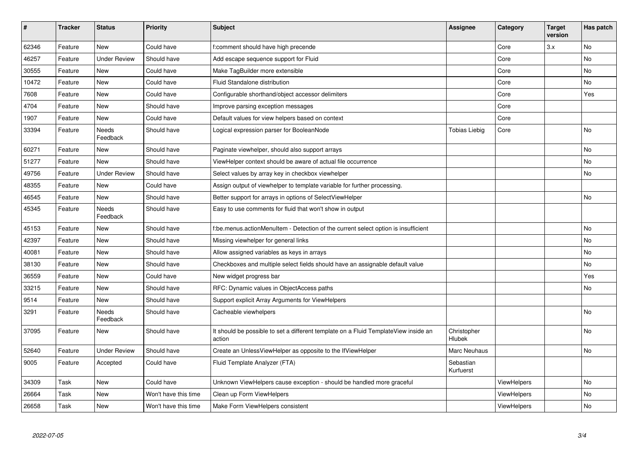| $\sharp$ | <b>Tracker</b> | <b>Status</b>       | <b>Priority</b>      | <b>Subject</b>                                                                                | <b>Assignee</b>              | Category           | <b>Target</b><br>version | Has patch |
|----------|----------------|---------------------|----------------------|-----------------------------------------------------------------------------------------------|------------------------------|--------------------|--------------------------|-----------|
| 62346    | Feature        | New                 | Could have           | f:comment should have high precende                                                           |                              | Core               | 3.x                      | <b>No</b> |
| 46257    | Feature        | Under Review        | Should have          | Add escape sequence support for Fluid                                                         |                              | Core               |                          | No.       |
| 30555    | Feature        | New                 | Could have           | Make TagBuilder more extensible                                                               |                              | Core               |                          | No        |
| 10472    | Feature        | New                 | Could have           | Fluid Standalone distribution                                                                 |                              | Core               |                          | No        |
| 7608     | Feature        | New                 | Could have           | Configurable shorthand/object accessor delimiters                                             |                              | Core               |                          | Yes       |
| 4704     | Feature        | New                 | Should have          | Improve parsing exception messages                                                            |                              | Core               |                          |           |
| 1907     | Feature        | New                 | Could have           | Default values for view helpers based on context                                              |                              | Core               |                          |           |
| 33394    | Feature        | Needs<br>Feedback   | Should have          | Logical expression parser for BooleanNode                                                     | <b>Tobias Liebig</b>         | Core               |                          | <b>No</b> |
| 60271    | Feature        | New                 | Should have          | Paginate viewhelper, should also support arrays                                               |                              |                    |                          | <b>No</b> |
| 51277    | Feature        | <b>New</b>          | Should have          | ViewHelper context should be aware of actual file occurrence                                  |                              |                    |                          | <b>No</b> |
| 49756    | Feature        | <b>Under Review</b> | Should have          | Select values by array key in checkbox viewhelper                                             |                              |                    |                          | No        |
| 48355    | Feature        | <b>New</b>          | Could have           | Assign output of viewhelper to template variable for further processing.                      |                              |                    |                          |           |
| 46545    | Feature        | New                 | Should have          | Better support for arrays in options of SelectViewHelper                                      |                              |                    |                          | No        |
| 45345    | Feature        | Needs<br>Feedback   | Should have          | Easy to use comments for fluid that won't show in output                                      |                              |                    |                          |           |
| 45153    | Feature        | New                 | Should have          | f:be.menus.actionMenuItem - Detection of the current select option is insufficient            |                              |                    |                          | No        |
| 42397    | Feature        | New                 | Should have          | Missing viewhelper for general links                                                          |                              |                    |                          | No        |
| 40081    | Feature        | New                 | Should have          | Allow assigned variables as keys in arrays                                                    |                              |                    |                          | No        |
| 38130    | Feature        | New                 | Should have          | Checkboxes and multiple select fields should have an assignable default value                 |                              |                    |                          | No        |
| 36559    | Feature        | New                 | Could have           | New widget progress bar                                                                       |                              |                    |                          | Yes       |
| 33215    | Feature        | <b>New</b>          | Should have          | RFC: Dynamic values in ObjectAccess paths                                                     |                              |                    |                          | No        |
| 9514     | Feature        | New                 | Should have          | Support explicit Array Arguments for ViewHelpers                                              |                              |                    |                          |           |
| 3291     | Feature        | Needs<br>Feedback   | Should have          | Cacheable viewhelpers                                                                         |                              |                    |                          | <b>No</b> |
| 37095    | Feature        | New                 | Should have          | It should be possible to set a different template on a Fluid TemplateView inside an<br>action | Christopher<br><b>Hlubek</b> |                    |                          | <b>No</b> |
| 52640    | Feature        | Under Review        | Should have          | Create an UnlessViewHelper as opposite to the IfViewHelper                                    | Marc Neuhaus                 |                    |                          | <b>No</b> |
| 9005     | Feature        | Accepted            | Could have           | Fluid Template Analyzer (FTA)                                                                 | Sebastian<br>Kurfuerst       |                    |                          |           |
| 34309    | Task           | New                 | Could have           | Unknown ViewHelpers cause exception - should be handled more graceful                         |                              | <b>ViewHelpers</b> |                          | <b>No</b> |
| 26664    | Task           | New                 | Won't have this time | Clean up Form ViewHelpers                                                                     |                              | ViewHelpers        |                          | <b>No</b> |
| 26658    | Task           | New                 | Won't have this time | Make Form ViewHelpers consistent                                                              |                              | ViewHelpers        |                          | No        |